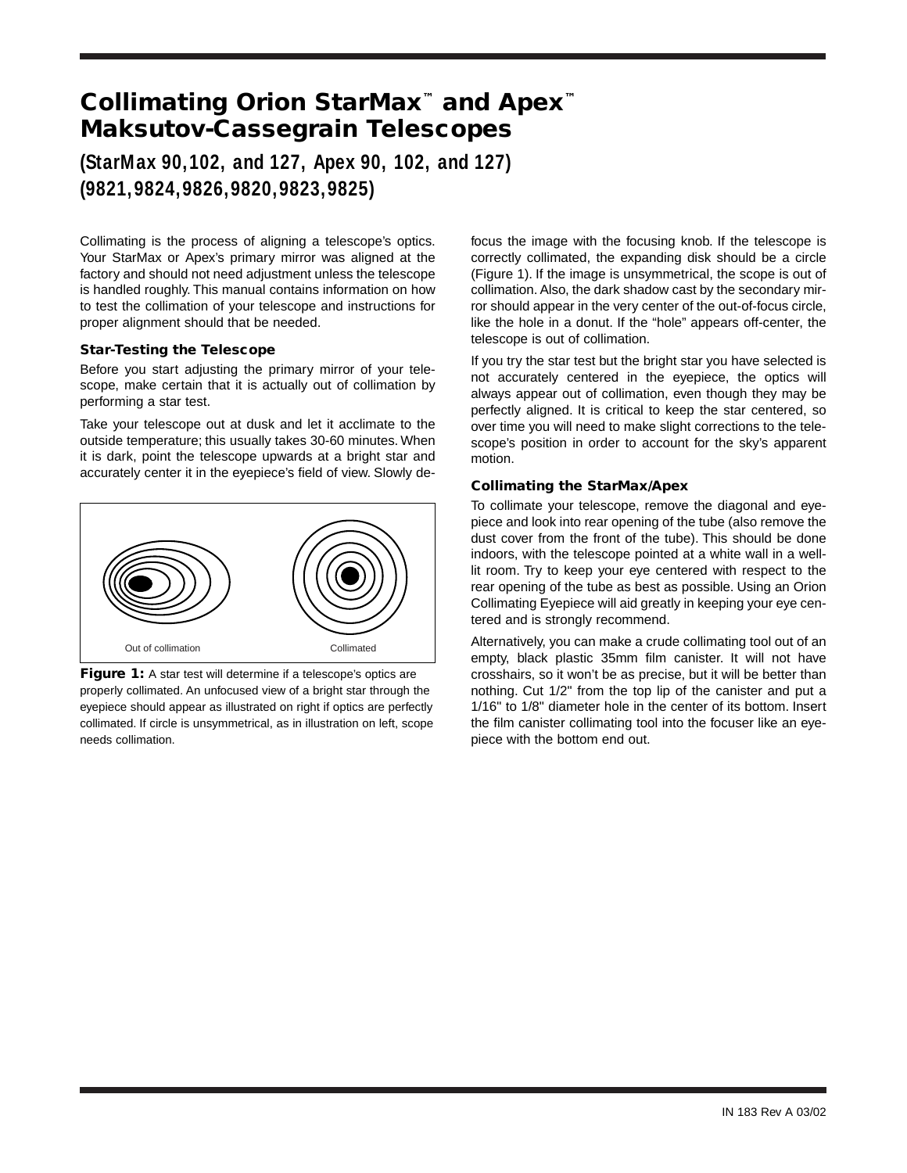# **Collimating Orion StarMax™ and Apex™ Maksutov-Cassegrain Telescopes**

# **(StarMax 90,102, and 127, Apex 90, 102, and 127) (9821,9824,9826,9820,9823,9825)**

Collimating is the process of aligning a telescope's optics. Your StarMax or Apex's primary mirror was aligned at the factory and should not need adjustment unless the telescope is handled roughly. This manual contains information on how to test the collimation of your telescope and instructions for proper alignment should that be needed.

### **Star-Testing the Telescope**

Before you start adjusting the primary mirror of your telescope, make certain that it is actually out of collimation by performing a star test.

Take your telescope out at dusk and let it acclimate to the outside temperature; this usually takes 30-60 minutes. When it is dark, point the telescope upwards at a bright star and accurately center it in the eyepiece's field of view. Slowly de-



Figure 1: A star test will determine if a telescope's optics are properly collimated. An unfocused view of a bright star through the eyepiece should appear as illustrated on right if optics are perfectly collimated. If circle is unsymmetrical, as in illustration on left, scope needs collimation.

focus the image with the focusing knob. If the telescope is correctly collimated, the expanding disk should be a circle (Figure 1). If the image is unsymmetrical, the scope is out of collimation. Also, the dark shadow cast by the secondary mirror should appear in the very center of the out-of-focus circle, like the hole in a donut. If the "hole" appears off-center, the telescope is out of collimation.

If you try the star test but the bright star you have selected is not accurately centered in the eyepiece, the optics will always appear out of collimation, even though they may be perfectly aligned. It is critical to keep the star centered, so over time you will need to make slight corrections to the telescope's position in order to account for the sky's apparent motion.

## **Collimating the StarMax/Apex**

To collimate your telescope, remove the diagonal and eyepiece and look into rear opening of the tube (also remove the dust cover from the front of the tube). This should be done indoors, with the telescope pointed at a white wall in a welllit room. Try to keep your eye centered with respect to the rear opening of the tube as best as possible. Using an Orion Collimating Eyepiece will aid greatly in keeping your eye centered and is strongly recommend.

Alternatively, you can make a crude collimating tool out of an empty, black plastic 35mm film canister. It will not have crosshairs, so it won't be as precise, but it will be better than nothing. Cut 1/2" from the top lip of the canister and put a 1/16" to 1/8" diameter hole in the center of its bottom. Insert the film canister collimating tool into the focuser like an eyepiece with the bottom end out.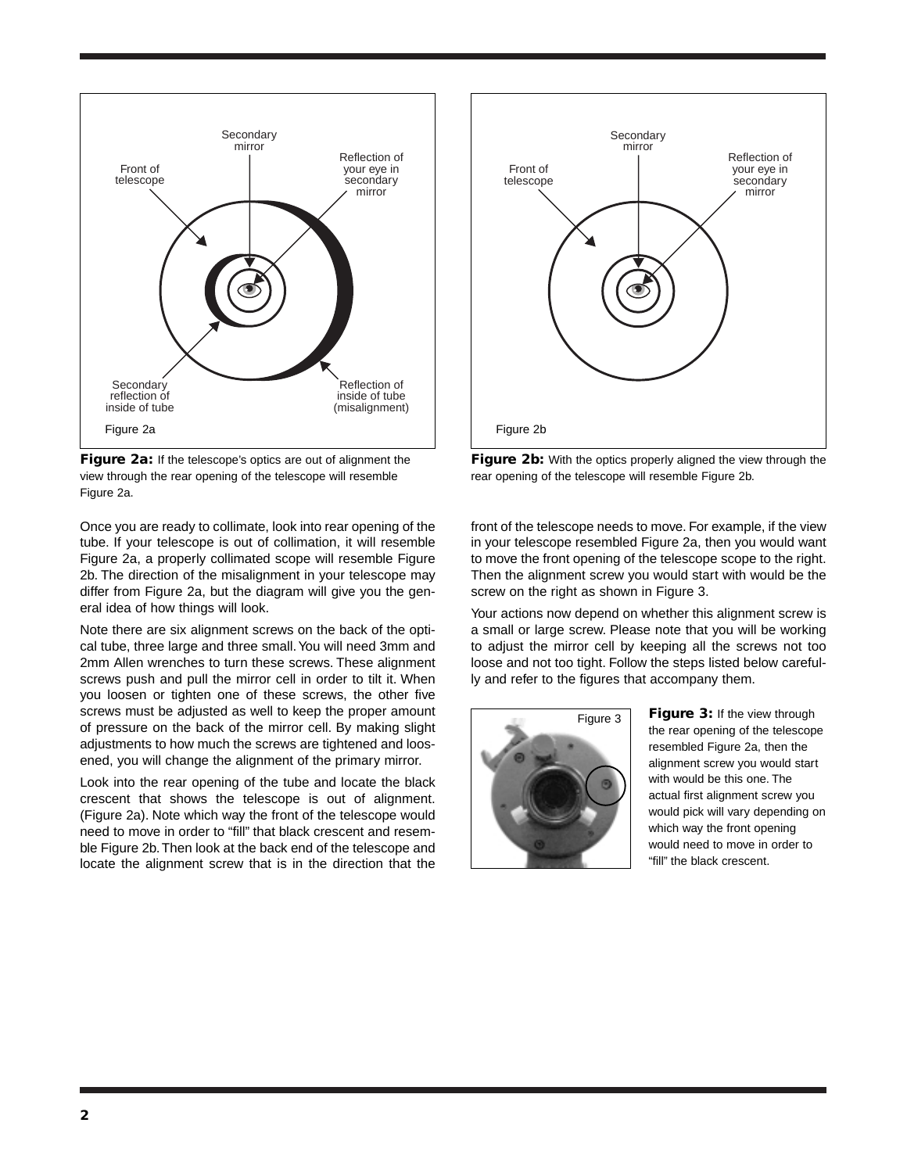

**Figure 2a:** If the telescope's optics are out of alignment the view through the rear opening of the telescope will resemble Figure 2a.

Once you are ready to collimate, look into rear opening of the tube. If your telescope is out of collimation, it will resemble Figure 2a, a properly collimated scope will resemble Figure 2b. The direction of the misalignment in your telescope may differ from Figure 2a, but the diagram will give you the general idea of how things will look.

Note there are six alignment screws on the back of the optical tube, three large and three small.You will need 3mm and 2mm Allen wrenches to turn these screws. These alignment screws push and pull the mirror cell in order to tilt it. When you loosen or tighten one of these screws, the other five screws must be adjusted as well to keep the proper amount of pressure on the back of the mirror cell. By making slight adjustments to how much the screws are tightened and loosened, you will change the alignment of the primary mirror.

Look into the rear opening of the tube and locate the black crescent that shows the telescope is out of alignment. (Figure 2a). Note which way the front of the telescope would need to move in order to "fill" that black crescent and resemble Figure 2b. Then look at the back end of the telescope and locate the alignment screw that is in the direction that the



**Figure 2b:** With the optics properly aligned the view through the rear opening of the telescope will resemble Figure 2b.

front of the telescope needs to move. For example, if the view in your telescope resembled Figure 2a, then you would want to move the front opening of the telescope scope to the right. Then the alignment screw you would start with would be the screw on the right as shown in Figure 3.

Your actions now depend on whether this alignment screw is a small or large screw. Please note that you will be working to adjust the mirror cell by keeping all the screws not too loose and not too tight. Follow the steps listed below carefully and refer to the figures that accompany them.



**Figure 3:** If the view through the rear opening of the telescope resembled Figure 2a, then the alignment screw you would start with would be this one. The actual first alignment screw you would pick will vary depending on which way the front opening would need to move in order to "fill" the black crescent.